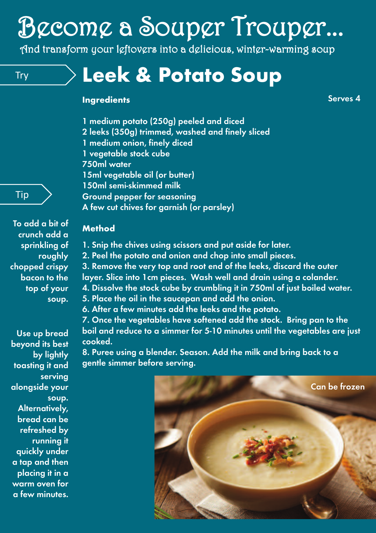# Become a Souper Trouper...

And transform your leftovers into a delicious, winter-warming soup

# Try **Leek & Potato Soup**

#### **Ingredients**

**Serves 4**

- **1 medium potato (250g) peeled and diced**
- **2 leeks (350g) trimmed, washed and finely sliced**
- **1 medium onion, finely diced**
- **1 vegetable stock cube**

**750ml water**

**15ml vegetable oil (or butter)**

- **150ml semi-skimmed milk**
- **Ground pepper for seasoning**
- **A few cut chives for garnish (or parsley)**

#### **Method**

- **1. Snip the chives using scissors and put aside for later.**
- **2. Peel the potato and onion and chop into small pieces.**

**3. Remove the very top and root end of the leeks, discard the outer layer. Slice into 1cm pieces. Wash well and drain using a colander. 4. Dissolve the stock cube by crumbling it in 750ml of just boiled water.**

- **5. Place the oil in the saucepan and add the onion.**
- **6. After a few minutes add the leeks and the potato.**

**7. Once the vegetables have softened add the stock. Bring pan to the boil and reduce to a simmer for 5-10 minutes until the vegetables are just cooked.**

**8. Puree using a blender. Season. Add the milk and bring back to a gentle simmer before serving.**



### Tip

**To add a bit of crunch add a sprinkling of roughly chopped crispy bacon to the top of your soup.**

**Use up bread beyond its best by lightly toasting it and serving alongside your soup. Alternatively, bread can be refreshed by running it quickly under a tap and then placing it in a warm oven for a few minutes.**